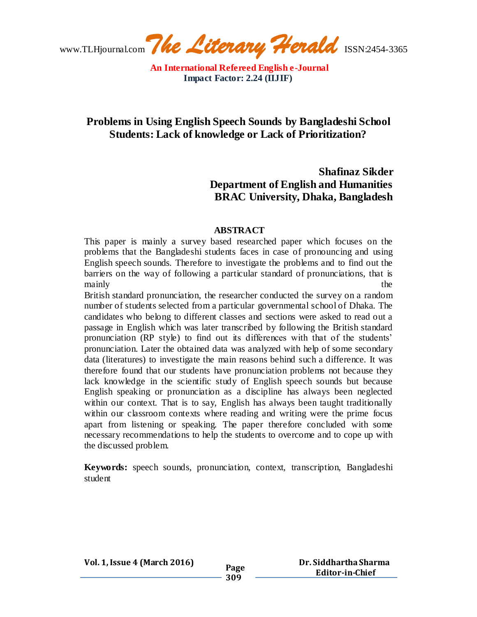# **Problems in Using English Speech Sounds by Bangladeshi School Students: Lack of knowledge or Lack of Prioritization?**

# **Shafinaz Sikder Department of English and Humanities BRAC University, Dhaka, Bangladesh**

## **ABSTRACT**

This paper is mainly a survey based researched paper which focuses on the problems that the Bangladeshi students faces in case of pronouncing and using English speech sounds. Therefore to investigate the problems and to find out the barriers on the way of following a particular standard of pronunciations, that is mainly the the state of the state of the state of the state of the state of the state of the state of the state of the state of the state of the state of the state of the state of the state of the state of the state of the

British standard pronunciation, the researcher conducted the survey on a random number of students selected from a particular governmental school of Dhaka. The candidates who belong to different classes and sections were asked to read out a passage in English which was later transcribed by following the British standard pronunciation (RP style) to find out its differences with that of the students' pronunciation. Later the obtained data was analyzed with help of some secondary data (literatures) to investigate the main reasons behind such a difference. It was therefore found that our students have pronunciation problems not because they lack knowledge in the scientific study of English speech sounds but because English speaking or pronunciation as a discipline has always been neglected within our context. That is to say, English has always been taught traditionally within our classroom contexts where reading and writing were the prime focus apart from listening or speaking. The paper therefore concluded with some necessary recommendations to help the students to overcome and to cope up with the discussed problem.

**Keywords:** speech sounds, pronunciation, context, transcription, Bangladeshi student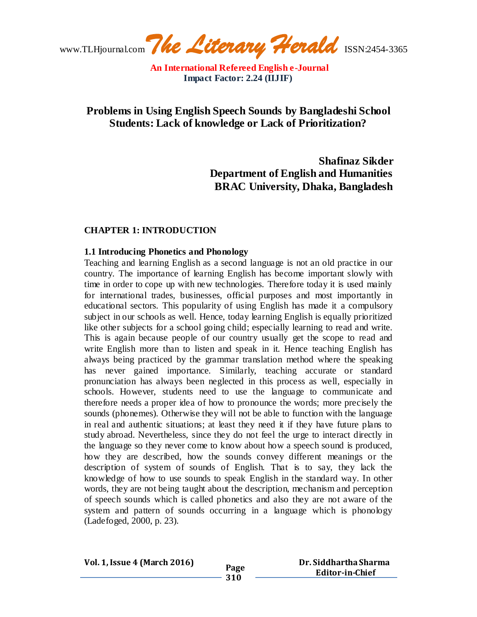www.TLHjournal.com*The Literary Herald*ISSN:2454-3365

## **Problems in Using English Speech Sounds by Bangladeshi School Students: Lack of knowledge or Lack of Prioritization?**

**Shafinaz Sikder Department of English and Humanities BRAC University, Dhaka, Bangladesh**

#### **CHAPTER 1: INTRODUCTION**

#### **1.1 Introducing Phonetics and Phonology**

Teaching and learning English as a second language is not an old practice in our country. The importance of learning English has become important slowly with time in order to cope up with new technologies. Therefore today it is used mainly for international trades, businesses, official purposes and most importantly in educational sectors. This popularity of using English has made it a compulsory subject in our schools as well. Hence, today learning English is equally prioritized like other subjects for a school going child; especially learning to read and write. This is again because people of our country usually get the scope to read and write English more than to listen and speak in it. Hence teaching English has always being practiced by the grammar translation method where the speaking has never gained importance. Similarly, teaching accurate or standard pronunciation has always been neglected in this process as well, especially in schools. However, students need to use the language to communicate and therefore needs a proper idea of how to pronounce the words; more precisely the sounds (phonemes). Otherwise they will not be able to function with the language in real and authentic situations; at least they need it if they have future plans to study abroad. Nevertheless, since they do not feel the urge to interact directly in the language so they never come to know about how a speech sound is produced, how they are described, how the sounds convey different meanings or the description of system of sounds of English. That is to say, they lack the knowledge of how to use sounds to speak English in the standard way. In other words, they are not being taught about the description, mechanism and perception of speech sounds which is called phonetics and also they are not aware of the system and pattern of sounds occurring in a language which is phonology (Ladefoged, 2000, p. 23).

#### **Dr. Siddhartha Sharma Editor-in-Chief**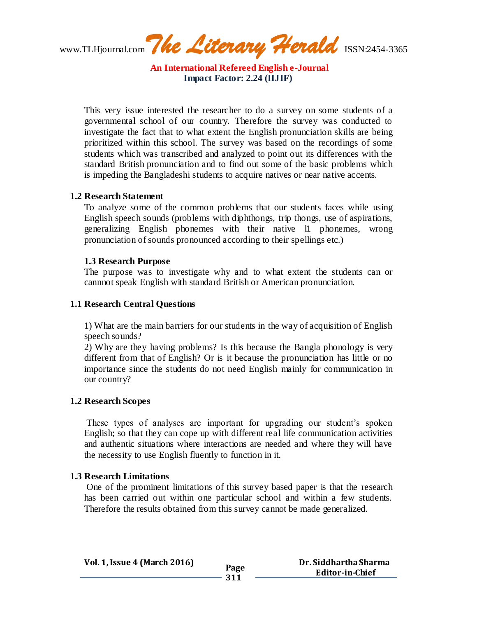www.TLHjournal.com*The Literary Herald*ISSN:2454-3365

This very issue interested the researcher to do a survey on some students of a governmental school of our country. Therefore the survey was conducted to investigate the fact that to what extent the English pronunciation skills are being prioritized within this school. The survey was based on the recordings of some students which was transcribed and analyzed to point out its differences with the standard British pronunciation and to find out some of the basic problems which is impeding the Bangladeshi students to acquire natives or near native accents.

#### **1.2 Research Statement**

To analyze some of the common problems that our students faces while using English speech sounds (problems with diphthongs, trip thongs, use of aspirations, generalizing English phonemes with their native l1 phonemes, wrong pronunciation of sounds pronounced according to their spellings etc.)

#### **1.3 Research Purpose**

The purpose was to investigate why and to what extent the students can or cannnot speak English with standard British or American pronunciation.

#### **1.1 Research Central Questions**

1) What are the main barriers for our students in the way of acquisition of English speech sounds?

2) Why are they having problems? Is this because the Bangla phonology is very different from that of English? Or is it because the pronunciation has little or no importance since the students do not need English mainly for communication in our country?

#### **1.2 Research Scopes**

These types of analyses are important for upgrading our student's spoken English; so that they can cope up with different real life communication activities and authentic situations where interactions are needed and where they will have the necessity to use English fluently to function in it.

#### **1.3 Research Limitations**

One of the prominent limitations of this survey based paper is that the research has been carried out within one particular school and within a few students. Therefore the results obtained from this survey cannot be made generalized.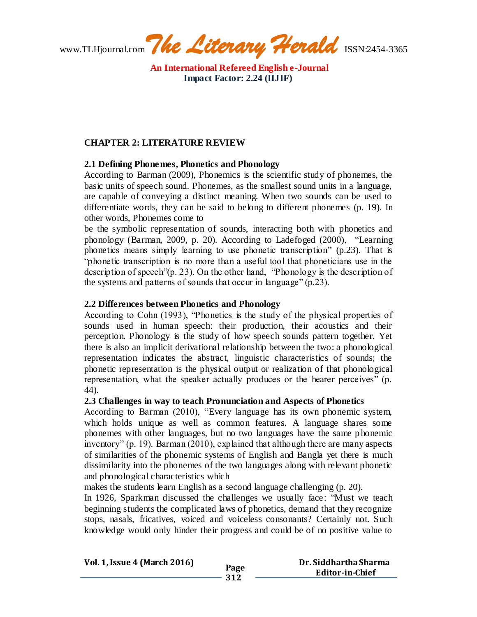www.TLHjournal.com*The Literary Herald*ISSN:2454-3365

## **CHAPTER 2: LITERATURE REVIEW**

## **2.1 Defining Phonemes, Phonetics and Phonology**

According to Barman (2009), Phonemics is the scientific study of phonemes, the basic units of speech sound. Phonemes, as the smallest sound units in a language, are capable of conveying a distinct meaning. When two sounds can be used to differentiate words, they can be said to belong to different phonemes (p. 19). In other words, Phonemes come to

be the symbolic representation of sounds, interacting both with phonetics and phonology (Barman, 2009, p. 20). According to Ladefoged (2000), "Learning phonetics means simply learning to use phonetic transcription" (p.23). That is "phonetic transcription is no more than a useful tool that phoneticians use in the description of speech"(p. 23). On the other hand, "Phonology is the description of the systems and patterns of sounds that occur in language" (p.23).

## **2.2 Differences between Phonetics and Phonology**

According to Cohn (1993), "Phonetics is the study of the physical properties of sounds used in human speech: their production, their acoustics and their perception. Phonology is the study of how speech sounds pattern together. Yet there is also an implicit derivational relationship between the two: a phonological representation indicates the abstract, linguistic characteristics of sounds; the phonetic representation is the physical output or realization of that phonological representation, what the speaker actually produces or the hearer perceives" (p. 44).

#### **2.3 Challenges in way to teach Pronunciation and Aspects of Phonetics**

According to Barman (2010), "Every language has its own phonemic system, which holds unique as well as common features. A language shares some phonemes with other languages, but no two languages have the same p honemic inventory" (p. 19). Barman (2010), explained that although there are many aspects of similarities of the phonemic systems of English and Bangla yet there is much dissimilarity into the phonemes of the two languages along with relevant phonetic and phonological characteristics which

makes the students learn English as a second language challenging (p. 20).

In 1926, Sparkman discussed the challenges we usually face: "Must we teach beginning students the complicated laws of phonetics, demand that they recognize stops, nasals, fricatives, voiced and voiceless consonants? Certainly not. Such knowledge would only hinder their progress and could be of no positive value to

| <b>Vol. 1, Issue 4 (March 2016)</b> |             | Dr. Siddhartha Sharma  |
|-------------------------------------|-------------|------------------------|
|                                     | Page<br>312 | <b>Editor-in-Chief</b> |
|                                     |             |                        |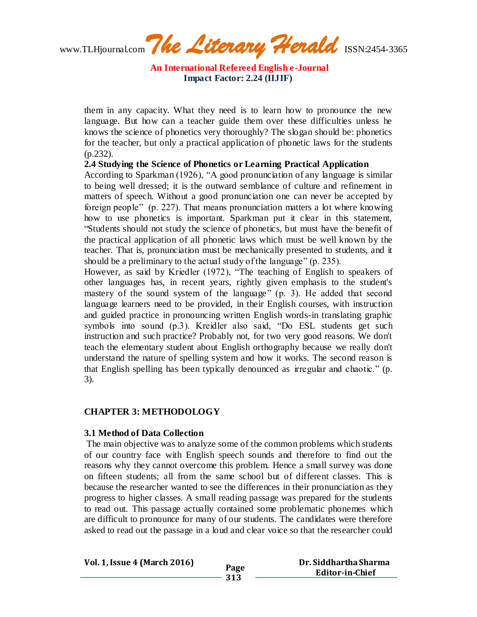www.TLHjournal.com*The Literary Herald*ISSN:2454-3365

them in any capacity. What they need is to learn how to pronounce the new language. But how can a teacher guide them over these difficulties unless he knows the science of phonetics very thoroughly? The slogan should be: phonetics for the teacher, but only a practical application of phonetic laws for the students (p.232).

**2.4 Studying the Science of Phonetics or Learning Practical Application**

According to Sparkman (1926), "A good pronunciation of any language is similar to being well dressed; it is the outward semblance of culture and refinement in matters of speech. Without a good pronunciation one can never be accepted by foreign people" (p. 227). That means pronunciation matters a lot where knowing how to use phonetics is important. Sparkman put it clear in this statement, "Students should not study the science of phonetics, but must have the benefit of the practical application of all phonetic laws which must be well known by the teacher. That is, pronunciation must be mechanically presented to students, and it should be a preliminary to the actual study of the language" (p. 235).

However, as said by Kriedler (1972), "The teaching of English to speakers of other languages has, in recent years, rightly given emphasis to the student's mastery of the sound system of the language" (p. 3). He added that second language learners need to be provided, in their English courses, with instruction and guided practice in pronouncing written English words-in translating graphic symbols into sound (p.3). Kreidler also said, "Do ESL students get such instruction and such practice? Probably not, for two very good reasons. We don't teach the elementary student about English orthography because we really don't understand the nature of spelling system and how it works. The second reason is that English spelling has been typically denounced as irregular and chaotic." (p. 3).

## **CHAPTER 3: METHODOLOGY**

#### **3.1 Method of Data Collection**

The main objective was to analyze some of the common problems which students of our country face with English speech sounds and therefore to find out the reasons why they cannot overcome this problem. Hence a small survey was done on fifteen students; all from the same school but of different classes. This is because the researcher wanted to see the differences in their pronunciation as they progress to higher classes. A small reading passage was prepared for the students to read out. This passage actually contained some problematic phonemes which are difficult to pronounce for many of our students. The candidates were therefore asked to read out the passage in a loud and clear voice so that the researcher could

**Vol. 1, Issue 4 (March 2016) Page 313 Dr. Siddhartha Sharma Editor-in-Chief**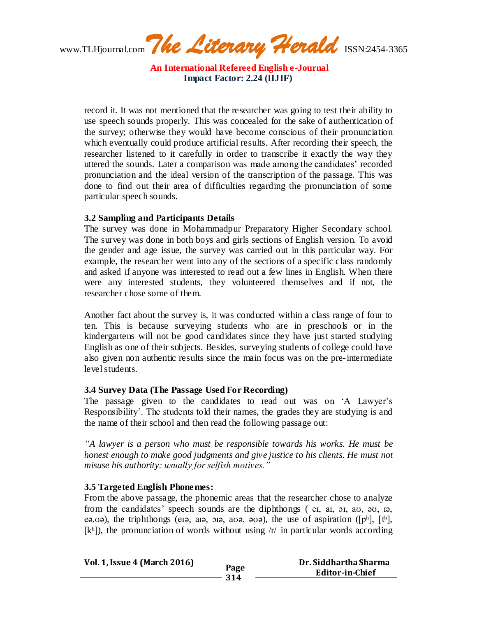www.TLHjournal.com*The Literary Herald*ISSN:2454-3365

record it. It was not mentioned that the researcher was going to test their ability to use speech sounds properly. This was concealed for the sake of authentication of the survey; otherwise they would have become conscious of their pronunciation which eventually could produce artificial results. After recording their speech, the researcher listened to it carefully in order to transcribe it exactly the way they uttered the sounds. Later a comparison was made among the candidates' recorded pronunciation and the ideal version of the transcription of the passage. This was done to find out their area of difficulties regarding the pronunciation of some particular speech sounds.

#### **3.2 Sampling and Participants Details**

The survey was done in Mohammadpur Preparatory Higher Secondary school. The survey was done in both boys and girls sections of English version. To avoid the gender and age issue, the survey was carried out in this particular way. For example, the researcher went into any of the sections of a specific class randomly and asked if anyone was interested to read out a few lines in English. When there were any interested students, they volunteered themselves and if not, the researcher chose some of them.

Another fact about the survey is, it was conducted within a class range of four to ten. This is because surveying students who are in preschools or in the kindergartens will not be good candidates since they have just started studying English as one of their subjects. Besides, surveying students of college could have also given non authentic results since the main focus was on the pre-intermediate level students.

#### **3.4 Survey Data (The Passage Used For Recording)**

The passage given to the candidates to read out was on 'A Lawyer's Responsibility'. The students told their names, the grades they are studying is and the name of their school and then read the following passage out:

*"A lawyer is a person who must be responsible towards his works. He must be honest enough to make good judgments and give justice to his clients. He must not misuse his authority; usually for selfish motives."*

#### **3.5 Targeted English Phonemes:**

From the above passage, the phonemic areas that the researcher chose to analyze from the candidates' speech sounds are the diphthongs ( eɪ, aɪ, ɔɪ, aʊ, əʊ, ɪə, eə,və), the triphthongs (eiə, aiə,  $\overline{q}$ , ai $\overline{q}$ , aib,  $\overline{q}$ , aib, the use of aspiration ([pʰ], [tʰ],  $[k<sup>h</sup>]$ ), the pronunciation of words without using  $/r/$  in particular words according

| <b>Vol. 1, Issue 4 (March 2016)</b> |      | Dr. Siddhartha Sharma  |
|-------------------------------------|------|------------------------|
|                                     | Page | <b>Editor-in-Chief</b> |
|                                     | 314  |                        |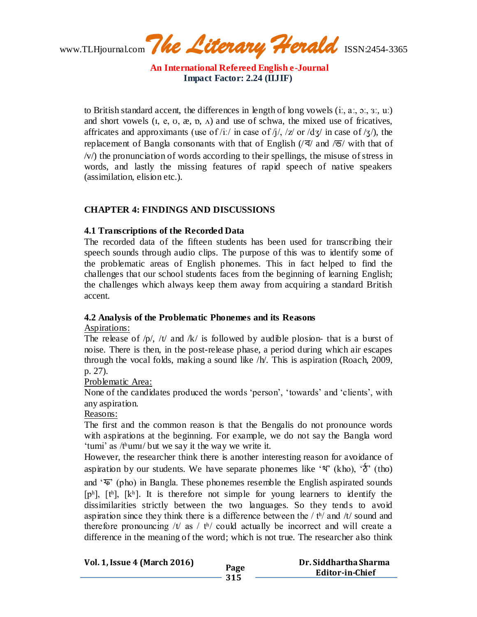www.TLHjournal.com*The Literary Herald*ISSN:2454-3365

to British standard accent, the differences in length of long vowels  $(i, a, a, a, a)$ ;  $(i, a, a, b)$ and short vowels  $(I, e, U, \mathcal{X}, \mathcal{D}, \Lambda)$  and use of schwa, the mixed use of fricatives, affricates and approximants (use of /iː/ in case of /j/, /z/ or [/dʒ/](http://en.wikipedia.org/wiki/Voiced_palato-alveolar_affricate) in case of /ʒ/), the replacement of Bangla consonants with that of English  $\sqrt{q}$  and  $\sqrt{9}$  with that of  $\sqrt{v}$  the pronunciation of words according to their spellings, the misuse of stress in words, and lastly the missing features of rapid speech of native speakers (assimilation, elision etc.).

## **CHAPTER 4: FINDINGS AND DISCUSSIONS**

#### **4.1 Transcriptions of the Recorded Data**

The recorded data of the fifteen students has been used for transcribing their speech sounds through audio clips. The purpose of this was to identify some of the problematic areas of English phonemes. This in fact helped to find the challenges that our school students faces from the beginning of learning English; the challenges which always keep them away from acquiring a standard British accent.

## **4.2 Analysis of the Problematic Phonemes and its Reasons**

Aspirations:

The release of /p/, /t/ and /k/ is followed by audible plosion- that is a burst of noise. There is then, in the post-release phase, a period during which air escapes through the vocal folds, making a sound like /h/. This is aspiration (Roach, 2009, p. 27).

Problematic Area:

None of the candidates produced the words 'person', 'towards' and 'clients', with any aspiration.

#### Reasons:

The first and the common reason is that the Bengalis do not pronounce words with aspirations at the beginning. For example, we do not say the Bangla word 'tumi' as /tʰumɪ/ but we say it the way we write it.

However, the researcher think there is another interesting reason for avoidance of aspiration by our students. We have separate phonemes like ' $\mathcal{N}$ ' (kho), ' $\mathcal{D}'$ ' (tho) and 'ফ' (pho) in Bangla. These phonemes resemble the English aspirated sounds [pʰ], [tʰ], [kʰ]. It is therefore not simple for young learners to identify the dissimilarities strictly between the two languages. So they tends to avoid aspiration since they think there is a difference between the  $/$  th and  $/$ t sound and therefore pronouncing /t/ as / th/ could actually be incorrect and will create a difference in the meaning of the word; which is not true. The researcher also think

| <b>Vol. 1, Issue 4 (March 2016)</b> |             | Dr. Siddhartha Sharma |
|-------------------------------------|-------------|-----------------------|
|                                     | Page<br>315 | Editor-in-Chief       |
|                                     |             |                       |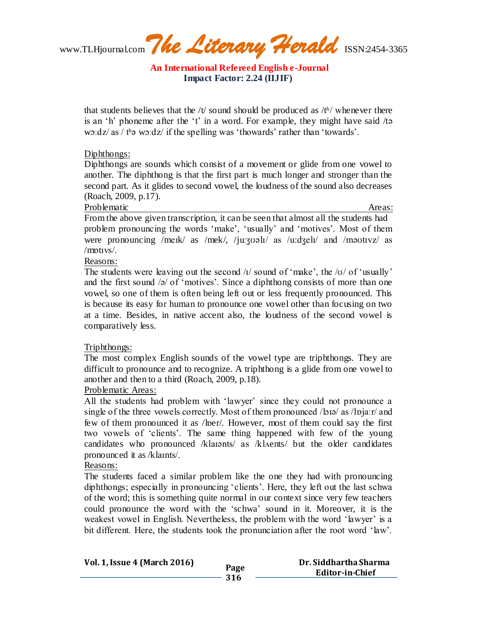www.TLHjournal.com*The Literary Herald*ISSN:2454-3365

that students believes that the /t/ sound should be produced as /t<sup>h</sup>/ whenever there is an 'h' phoneme after the 't' in a word. For example, they might have said /tə wɔːdz/ as / tʰə wɔːdz/ if the spelling was 'thowards' rather than 'towards'.

#### Diphthongs:

Diphthongs are sounds which consist of a movement or glide from one vowel to another. The diphthong is that the first part is much longer and stronger than the second part. As it glides to second vowel, the loudness of the sound also decreases (Roach, 2009, p.17).

Problematic Areas: Areas: Areas: Areas: Areas: Areas: Areas: Areas: Areas: Areas: Areas: Areas: Areas: Areas: Areas: Areas: Areas: Areas: Areas: Areas: Areas: Areas: Areas: Areas: Areas: Areas: Areas: Areas: Areas: Areas:

From the above given transcription, it can be seen that almost all the students had problem pronouncing the words 'make', 'usually' and 'motives'. Most of them were pronouncing /meik/ as /mek/, /juːʒʊəlɪ/ as /uːdʒelɪ/ and /məʊtɪvz/ as  $/mntivs/$ .

Reasons:

The students were leaving out the second  $\pi/$  sound of 'make', the  $\pi/$  of 'usually' and the first sound /ə/ of 'motives'. Since a diphthong consists of more than one vowel, so one of them is often being left out or less frequently pronounced. This is because its easy for human to pronounce one vowel other than focusing on two at a time. Besides, in native accent also, the loudness of the second vowel is comparatively less.

## Triphthongs:

The most complex English sounds of the vowel type are triphthongs. They are difficult to pronounce and to recognize. A triphthong is a glide from one vowel to another and then to a third (Roach, 2009, p.18).

## Problematic Areas:

All the students had problem with 'lawyer' since they could not pronounce a single of the three vowels correctly. Most of them pronounced /biə/ as /lpjaːr/ and few of them pronounced it as /ber/. However, most of them could say the first two vowels of 'clients'. The same thing happened with few of the young candidates who pronounced /klaɪənts/ as /klʌents/ but the older candidates pronounced it as /klaɪnts/.

## Reasons:

The students faced a similar problem like the one they had with pronouncing diphthongs; especially in pronouncing 'clients'. Here, they left out the last schwa of the word; this is something quite normal in our context since very few teachers could pronounce the word with the 'schwa' sound in it. Moreover, it is the weakest vowel in English. Nevertheless, the problem with the word 'lawyer' is a bit different. Here, the students took the pronunciation after the root word 'law'.

| <b>Vol. 1, Issue 4 (March 2016)</b> |      | Dr. Siddhartha Sharma  |
|-------------------------------------|------|------------------------|
|                                     | Page | <b>Editor-in-Chief</b> |
|                                     | 316  |                        |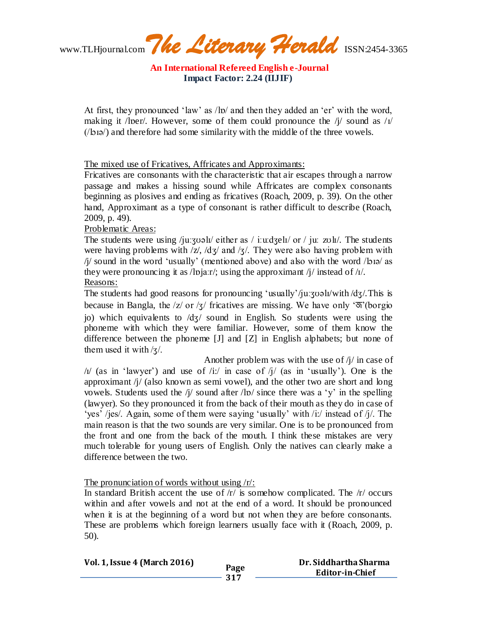www.TLHjournal.com*The Literary Herald*ISSN:2454-3365

At first, they pronounced 'law' as /lɒ/ and then they added an 'er' with the word, making it /lper/. However, some of them could pronounce the /j/ sound as / $\frac{1}{\sqrt{2}}$ (/lɔɪə/) and therefore had some similarity with the middle of the three vowels.

The mixed use of Fricatives, Affricates and Approximants:

Fricatives are consonants with the characteristic that air escapes through a narrow passage and makes a hissing sound while Affricates are complex consonants beginning as plosives and ending as fricatives (Roach, 2009, p. 39). On the other hand, Approximant as a type of consonant is rather difficult to describe (Roach, 2009, p. 49).

## Problematic Areas:

The students were using /juːʒʊəlɪ/ either as / iː[uːdʒe](http://en.wikipedia.org/wiki/Voiced_palato-alveolar_affricate)lɪ/ or / juː zʊlɪ/. The students were having problems with  $\frac{z}{x}$ ,  $\frac{dz}{\alpha}$  and  $\frac{z}{x}$ . They were also having problem with  $\frac{1}{2}$  sound in the word 'usually' (mentioned above) and also with the word  $\frac{1}{2}$  as they were pronouncing it as /lpjaːr/; using the approximant /j/ instead of / $\frac{1}{l}$ . Reasons:

The students had good reasons for pronouncing 'usually'/ju: $\frac{\partial u}{\partial x}$  /with [/dʒ/](http://en.wikipedia.org/wiki/Voiced_palato-alveolar_affricate). This is because in Bangla, the  $|z|$  or  $|z|$  fricatives are missing. We have only ' $\mathfrak{F}'$  (borgio jo) which equivalents to [/dʒ/](http://en.wikipedia.org/wiki/Voiced_palato-alveolar_affricate) sound in English. So students were using the phoneme with which they were familiar. However, some of them know the difference between the phoneme [J] and [Z] in English alphabets; but none of them used it with  $\frac{1}{3}$ .

Another problem was with the use of  $\frac{1}{l}$  in case of  $\frac{1}{4}$  (as in 'lawyer') and use of  $\frac{1}{1}$  in case of  $\frac{1}{4}$  (as in 'usually'). One is the approximant /j/ (also known as semi vowel), and the other two are short and long vowels. Students used the /j/ sound after /lp/ since there was a 'y' in the spelling (lawyer). So they pronounced it from the back of their mouth as they do in case of 'yes' /jes/. Again, some of them were saying 'usually' with /i:/ instead of /j/. The main reason is that the two sounds are very similar. One is to be pronounced from the front and one from the back of the mouth. I think these mistakes are very much tolerable for young users of English. Only the natives can clearly make a difference between the two.

#### The pronunciation of words without using /r/:

In standard British accent the use of  $/r/$  is somehow complicated. The  $/r/$  occurs within and after vowels and not at the end of a word. It should be pronounced when it is at the beginning of a word but not when they are before consonants. These are problems which foreign learners usually face with it (Roach, 2009, p. 50).

| <b>Vol. 1, Issue 4 (March 2016)</b> |      | Dr. Siddhartha Sharma  |
|-------------------------------------|------|------------------------|
|                                     | Page |                        |
|                                     |      | <b>Editor-in-Chief</b> |
|                                     | 317  |                        |
|                                     |      |                        |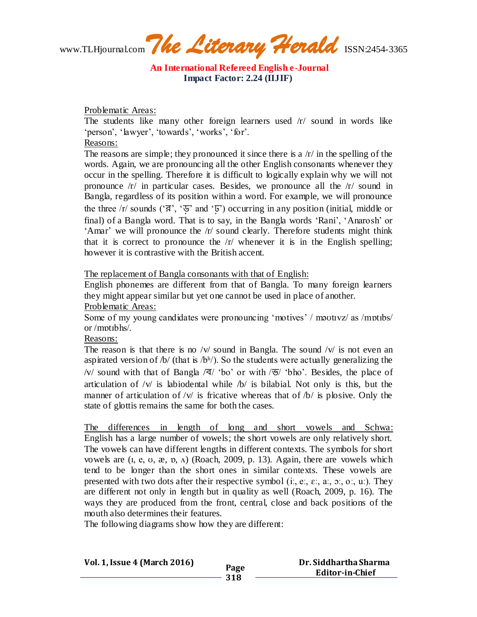www.TLHjournal.com*The Literary Herald*ISSN:2454-3365

Problematic Areas:

The students like many other foreign learners used /r/ sound in words like 'person', 'lawyer', 'towards', 'works', 'for'.

Reasons:

The reasons are simple; they pronounced it since there is a  $/r/$  in the spelling of the words. Again, we are pronouncing all the other English consonants whenever they occur in the spelling. Therefore it is difficult to logically explain why we will not pronounce /r/ in particular cases. Besides, we pronounce all the /r/ sound in Bangla, regardless of its position within a word. For example, we will pronounce the three  $\pi$  sounds (' $\vec{a}$ ', ' $\vec{b}$ ' and ' $\vec{b}$ ') occurring in any position (initial, middle or final) of a Bangla word. That is to say, in the Bangla words 'Rani', 'Anarosh' or 'Amar' we will pronounce the /r/ sound clearly. Therefore students might think that it is correct to pronounce the  $\frac{r}{r}$  whenever it is in the English spelling; however it is contrastive with the British accent.

The replacement of Bangla consonants with that of English:

English phonemes are different from that of Bangla. To many foreign learners they might appear similar but yet one cannot be used in place of another. Problematic Areas:

Some of my young candidates were pronouncing 'motives' / motividently as /motibs/ or /mɒtɪbhs/.

Reasons:

The reason is that there is no /v/ sound in Bangla. The sound  $\sqrt{v}$  is not even an aspirated version of /b/ (that is /b<sup>h</sup>/). So the students were actually generalizing the /v/ sound with that of Bangla  $\sqrt{q}$  'bo' or with  $\sqrt{q}$  'bho'. Besides, the place of articulation of  $/v/$  is labiodental while  $/b/$  is bilabial. Not only is this, but the manner of articulation of /v/ is fricative whereas that of  $/b/$  is plosive. Only the state of glottis remains the same for both the cases.

The differences in length of long and short vowels and Schwa: English has a large number of vowels; the short vowels are only relatively short. The vowels can have different lengths in different contexts. The symbols for short vowels are  $(i, e, v, \mathcal{R}, \mathbf{n}, \Lambda)$  (Roach, 2009, p. 13). Again, there are vowels which tend to be longer than the short ones in similar contexts. These vowels are presented with two dots after their respective symbol (i., e.,  $\varepsilon$ .,  $\alpha$ .,  $\alpha$ .,  $\alpha$ .,  $\alpha$ .). They are different not only in length but in quality as well (Roach, 2009, p. 16). The ways they are produced from the front, central, close and back positions of the mouth also determines their features.

**318**

The following diagrams show how they are different:

**Vol. 1, Issue 4 (March 2016) Page**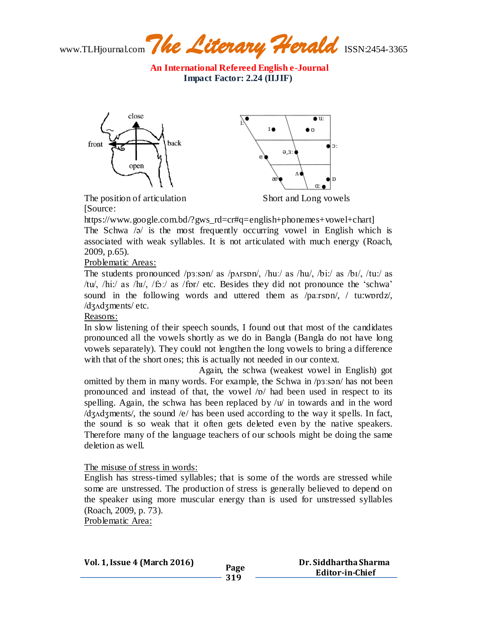www.TLHjournal.com*The Literary Herald*ISSN:2454-3365



The position of articulation Short and Long vowels [Source:

https://www.google.com.bd/?gws\_rd=cr#q=english+phonemes+vowel+chart] The Schwa /ə/ is the most frequently occurring vowel in English which is associated with weak syllables. It is not articulated with much energy (Roach, 2009, p.65).

Problematic Areas:

The students pronounced /pɜːsən/ as /pʌrspn/, /huː/ as /hu/, /biː/ as /bɪ/, /tuː/ as /tu/, /hi:/ as /hɪ/, /fɔː/ as /fɒr/ etc. Besides they did not pronounce the 'schwa' sound in the following words and uttered them as /paːrspn/, / tu:wprdz/, [/dʒʌdʒm](http://en.wikipedia.org/wiki/Voiced_palato-alveolar_affricate)ents/ etc.

Reasons:

In slow listening of their speech sounds, I found out that most of the candidates pronounced all the vowels shortly as we do in Bangla (Bangla do not have long vowels separately). They could not lengthen the long vowels to bring a difference with that of the short ones; this is actually not needed in our context.

Again, the schwa (weakest vowel in English) got omitted by them in many words. For example, the Schwa in /pɜːsən/ has not been pronounced and instead of that, the vowel /ɒ/ had been used in respect to its spelling. Again, the schwa has been replaced by  $\mathcal{W}$  in towards and in the word [/dʒʌdʒm](http://en.wikipedia.org/wiki/Voiced_palato-alveolar_affricate)ents/, the sound /e/ has been used according to the way it spells. In fact, the sound is so weak that it often gets deleted even by the native speakers. Therefore many of the language teachers of our schools might be doing the same deletion as well.

## The misuse of stress in words:

English has stress-timed syllables; that is some of the words are stressed while some are unstressed. The production of stress is generally believed to depend on the speaker using more muscular energy than is used for unstressed syllables (Roach, 2009, p. 73).

**319**

Problematic Area:

**Vol. 1, Issue 4 (March 2016) Page**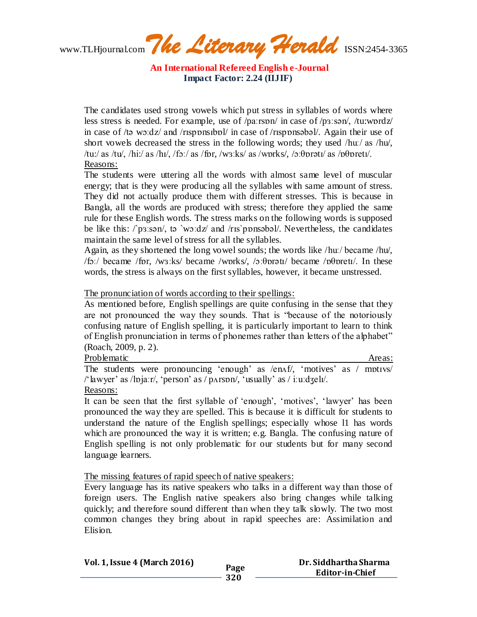www.TLHjournal.com*The Literary Herald*ISSN:2454-3365

The candidates used strong vowels which put stress in syllables of words where less stress is needed. For example, use of /paːrsɒn/ in case of /pɜːsən/, /tu:wɒrdz/ in case of /tə wɔːdz/ and /rɪspɒnsɪbɒl/ in case of /rɪspɒnsəbəl/. Again their use of short vowels decreased the stress in the following words; they used /huː/ as /hu/, /tu:/ as /tu/, /hi:/ as /hɪ/, /fɔː/ as /fɒr, /wɜːks/ as /wɒrks/, /ɔ[ːθɒ](http://en.wikipedia.org/wiki/Voiceless_dental_non-sibilant_fricative)rətɪ/ as /[ɒθɒ](http://en.wikipedia.org/wiki/Voiceless_dental_non-sibilant_fricative)retɪ/. Reasons:

The students were uttering all the words with almost same level of muscular energy; that is they were producing all the syllables with same amount of stress. They did not actually produce them with different stresses. This is because in Bangla, all the words are produced with stress; therefore they applied the same rule for these English words. The stress marks on the following words is supposed be like this:  $\log_{10}$  / ta `woːdz/ and /rɪs`pɒnsəbəl/. Nevertheless, the candidates maintain the same level of stress for all the syllables.

Again, as they shortened the long vowel sounds; the words like /huː/ became /hu/, /fɔː/ became /fɒr, /wɜːks/ became /wɒrks/, /ɔ[ːθɒ](http://en.wikipedia.org/wiki/Voiceless_dental_non-sibilant_fricative)rətɪ/ became /[ɒθɒ](http://en.wikipedia.org/wiki/Voiceless_dental_non-sibilant_fricative)retɪ/. In these words, the stress is always on the first syllables, however, it became unstressed.

The pronunciation of words according to their spellings:

As mentioned before, English spellings are quite confusing in the sense that they are not pronounced the way they sounds. That is "because of the notoriously confusing nature of English spelling, it is particularly important to learn to think of English pronunciation in terms of phonemes rather than letters of the alphabet" (Roach, 2009, p. 2).

Problematic Areas: Areas: Areas: Areas: Areas: Areas: Areas: Areas: Areas: Areas: Areas: Areas: Areas: Areas: Areas: Areas: Areas: Areas: Areas: Areas: Areas: Areas: Areas: Areas: Areas: Areas: Areas: Areas: Areas: Areas:

The students were pronouncing 'enough' as /enʌf/, 'motives' as / mɒtɪvs/ /'lawyer' as /lɒjaːr/, 'person' as / pʌrsɒn/, 'usually' as / iːu[ːdʒe](http://en.wikipedia.org/wiki/Voiced_palato-alveolar_affricate)lɪ/. Reasons:

It can be seen that the first syllable of 'enough', 'motives', 'lawyer' has been pronounced the way they are spelled. This is because it is difficult for students to understand the nature of the English spellings; especially whose l1 has words which are pronounced the way it is written; e.g. Bangla. The confusing nature of English spelling is not only problematic for our students but for many second language learners.

The missing features of rapid speech of native speakers:

Every language has its native speakers who talks in a different way than those of foreign users. The English native speakers also bring changes while talking quickly; and therefore sound different than when they talk slowly. The two most common changes they bring about in rapid speeches are: Assimilation and Elision.

| <b>Vol. 1, Issue 4 (March 2016)</b> | Page | Dr. Siddhartha Sharma<br><b>Editor-in-Chief</b> |
|-------------------------------------|------|-------------------------------------------------|
|                                     | 320  |                                                 |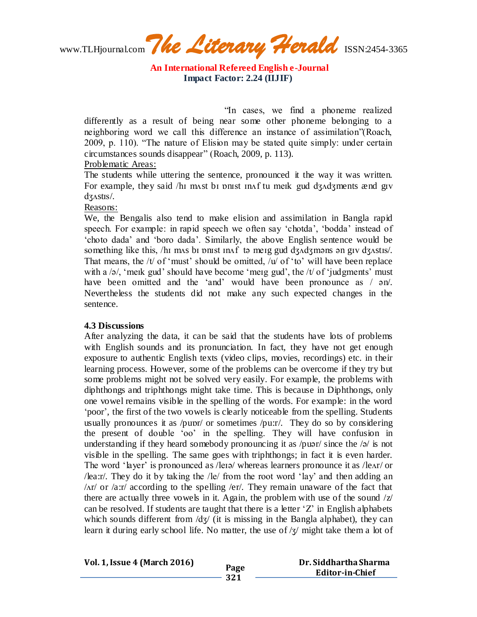www.TLHjournal.com*The Literary Herald*ISSN:2454-3365

"In cases, we find a phoneme realized differently as a result of being near some other phoneme belonging to a neighboring word we call this difference an instance of assimilation"(Roach, 2009, p. 110). "The nature of Elision may be stated quite simply: under certain circumstances sounds disappear" (Roach, 2009, p. 113).

## Problematic Areas:

The students while uttering the sentence, pronounced it the way it was written. For example, they said /hɪ mʌst bɪ ɒnɪst ɪnʌf tu meɪk gud [dʒʌdʒm](http://en.wikipedia.org/wiki/Voiced_palato-alveolar_affricate)ents ænd gɪv [dʒʌ](http://en.wikipedia.org/wiki/Voiced_palato-alveolar_affricate)stɪs/.

Reasons:

We, the Bengalis also tend to make elision and assimilation in Bangla rapid speech. For example: in rapid speech we often say 'chotda', 'bodda' instead of 'choto dada' and 'boro dada'. Similarly, the above English sentence would be something like this, /hɪ mʌs bɪ ɒnɪst ɪnʌf tə meɪg gud [dʒʌdʒm](http://en.wikipedia.org/wiki/Voiced_palato-alveolar_affricate)əns ən gɪv [dʒʌ](http://en.wikipedia.org/wiki/Voiced_palato-alveolar_affricate)stɪs/. That means, the  $/t/$  of 'must' should be omitted,  $/u/$  of 'to' will have been replace with a  $\sqrt{a}$ , 'merk gud' should have become 'merg gud', the  $\sqrt{t}$  of 'judgments' must have been omitted and the 'and' would have been pronounce as /  $\epsilon$ n/. Nevertheless the students did not make any such expected changes in the sentence.

## **4.3 Discussions**

After analyzing the data, it can be said that the students have lots of problems with English sounds and its pronunciation. In fact, they have not get enough exposure to authentic English texts (video clips, movies, recordings) etc. in their learning process. However, some of the problems can be overcome if they try but some problems might not be solved very easily. For example, the problems with diphthongs and triphthongs might take time. This is because in Diphthongs, only one vowel remains visible in the spelling of the words. For example: in the word 'poor', the first of the two vowels is clearly noticeable from the spelling. Students usually pronounces it as /puɒr/ or sometimes /pu:r/. They do so by considering the present of double 'oo' in the spelling. They will have confusion in understanding if they heard somebody pronouncing it as /puər/ since the /ə/ is not visible in the spelling. The same goes with triphthongs; in fact it is even harder. The word 'layer' is pronounced as /leɪə/ whereas learners pronounce it as /leʌr/ or /lea:r/. They do it by taking the /le/ from the root word 'lay' and then adding an /ʌr/ or /a:r/ according to the spelling /er/. They remain unaware of the fact that there are actually three vowels in it. Again, the problem with use of the sound /z/ can be resolved. If students are taught that there is a letter  $Z'$  in English alphabets which sounds different from  $\frac{d}{3}$  (it is missing in the Bangla alphabet), they can learn it during early school life. No matter, the use of  $\frac{z}{\sqrt{2}}$  might take them a lot of

**Vol. 1, Issue 4 (March 2016) Page 321 Dr. Siddhartha Sharma Editor-in-Chief**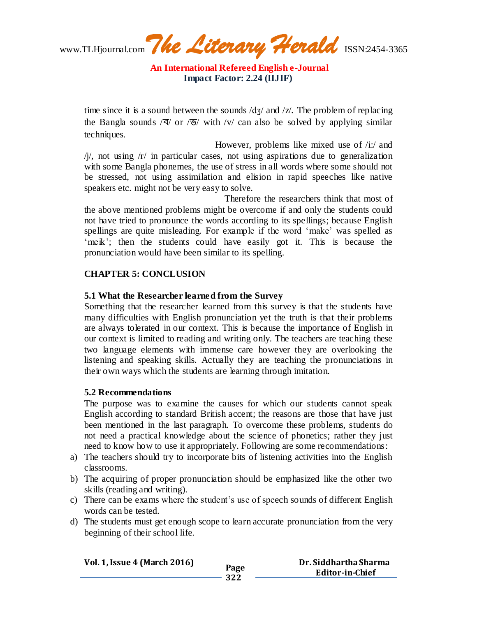www.TLHjournal.com*The Literary Herald*ISSN:2454-3365

**An International Refereed English e-Journal Impact Factor: 2.24 (IIJIF)**

time since it is a sound between the sounds  $\frac{dy}{dx}$  and  $\frac{z}{x}$ . The problem of replacing the Bangla sounds  $\sqrt{3}$  or  $\sqrt{9}$  with  $\sqrt{6}$  can also be solved by applying similar techniques.

 However, problems like mixed use of /i:/ and  $\pi/$ , not using  $\pi/$  in particular cases, not using aspirations due to generalization with some Bangla phonemes, the use of stress in all words where some should not be stressed, not using assimilation and elision in rapid speeches like native speakers etc. might not be very easy to solve.

Therefore the researchers think that most of the above mentioned problems might be overcome if and only the students could not have tried to pronounce the words according to its spellings; because English spellings are quite misleading. For example if the word 'make' was spelled as 'meik'; then the students could have easily got it. This is because the pronunciation would have been similar to its spelling.

## **CHAPTER 5: CONCLUSION**

## **5.1 What the Researcher learned from the Survey**

Something that the researcher learned from this survey is that the students have many difficulties with English pronunciation yet the truth is that their problems are always tolerated in our context. This is because the importance of English in our context is limited to reading and writing only. The teachers are teaching these two language elements with immense care however they are overlooking the listening and speaking skills. Actually they are teaching the pronunciations in their own ways which the students are learning through imitation.

## **5.2 Recommendations**

The purpose was to examine the causes for which our students cannot speak English according to standard British accent; the reasons are those that have just been mentioned in the last paragraph. To overcome these problems, students do not need a practical knowledge about the science of phonetics; rather they just need to know how to use it appropriately. Following are some recommendations:

- a) The teachers should try to incorporate bits of listening activities into the English classrooms.
- b) The acquiring of proper pronunciation should be emphasized like the other two skills (reading and writing).
- c) There can be exams where the student's use of speech sounds of different English words can be tested.
- d) The students must get enough scope to learn accurate pronunciation from the very beginning of their school life.

| <b>Vol. 1, Issue 4 (March 2016)</b> |      | Dr. Siddhartha Sharma  |
|-------------------------------------|------|------------------------|
|                                     | Page |                        |
|                                     |      | <b>Editor-in-Chief</b> |
|                                     | 322  |                        |
|                                     |      |                        |